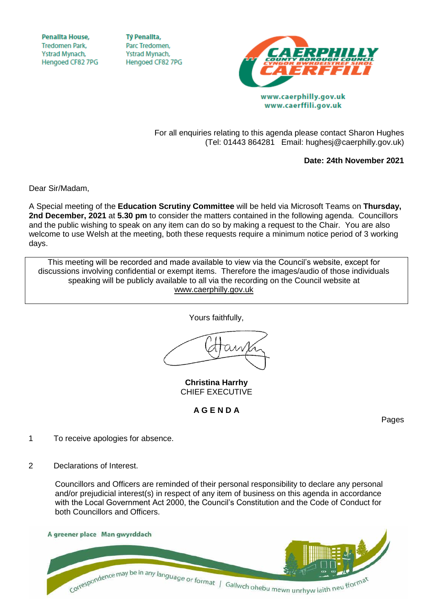**Penallta House,** Tredomen Park. Ystrad Mynach, Hengoed CF82 7PG

**TV Penallta.** Parc Tredomen. Ystrad Mynach, Hengoed CF82 7PG



www.caerffili.gov.uk

For all enquiries relating to this agenda please contact Sharon Hughes (Tel: 01443 864281 Email: hughesj@caerphilly.gov.uk)

**Date: 24th November 2021**

Dear Sir/Madam,

A Special meeting of the **Education Scrutiny Committee** will be held via Microsoft Teams on **Thursday, 2nd December, 2021** at **5.30 pm** to consider the matters contained in the following agenda. Councillors and the public wishing to speak on any item can do so by making a request to the Chair. You are also welcome to use Welsh at the meeting, both these requests require a minimum notice period of 3 working days.

This meeting will be recorded and made available to view via the Council's website, except for discussions involving confidential or exempt items. Therefore the images/audio of those individuals speaking will be publicly available to all via the recording on the Council website at [www.caerphilly.gov.uk](http://www.caerphilly.gov.uk/)

Yours faithfully,

**Christina Harrhy** CHIEF EXECUTIVE

**A G E N D A**

Pages

- 1 To receive apologies for absence.
- 2 Declarations of Interest.

Councillors and Officers are reminded of their personal responsibility to declare any personal and/or prejudicial interest(s) in respect of any item of business on this agenda in accordance with the Local Government Act 2000, the Council's Constitution and the Code of Conduct for both Councillors and Officers.